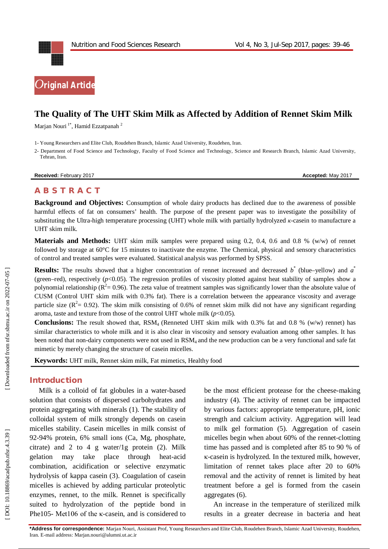



# **The Quality of The UHT Skim Milk as Affected by Addition of Rennet Skim Milk**

Marjan Nouri<sup>1\*</sup>, Hamid Ezzatpanah <sup>2</sup>

1 - Young Researchers and Elite Club, Roudehen Branch, Islamic Azad University, Roudehen, Iran.

2 - Department of Food Science and Technology, Faculty of Food Science and Technology, Science and Research Branch, Islamic Azad University, Tehran, Iran.

**Received:** February 2017 **Accepted:** May 2017

# **A B S T R A C T**

**Background and Objectives:** Consumption of whole dairy products has declined due to the awareness of possible harmful effects of fat on consumers' health. The purpose of the present paper was to investigate the possibility of substituting the Ultra-high temperature processing (UHT) whole milk with partially hydrolyzed *κ*-casein to manufacture a UHT skim milk.

**Materials and Methods:** UHT skim milk samples were prepared using 0.2, 0.4, 0.6 and 0.8 % (w/w) of rennet followed by storage at 60°C for 15 minutes to inactivate the enzyme. The Chemical, physical and sensory characteristics of control and treated samples were evaluated. Statistical analysis was performed by SPSS.

**Results:** The results showed that a higher concentration of rennet increased and decreased  $b^*$  (blue–yellow) and  $a^*$ (green–red), respectively  $(p<0.05)$ . The regression profiles of viscosity plotted against heat stability of samples show a polynomial relationship ( $R^2$  = 0.96). The zeta value of treatment samples was significantly lower than the absolute value of CUSM (Control UHT skim milk with 0.3% fat). There is a correlation between the appearance viscosity and average particle size ( $\mathbb{R}^2 = 0.92$ ). The skim milk consisting of 0.6% of rennet skim milk did not have any significant regarding aroma, taste and texture from those of the control UHT whole milk  $(p<0.05)$ .

**Conclusions:** The result showed that, RSM<sub>4</sub> (Renneted UHT skim milk with 0.3% fat and 0.8 % (w/w) rennet) has similar characteristics to whole milk and it is also clear in viscosity and sensory evaluation among other samples. It has been noted that non-dairy components were not used in RSM<sub>4</sub> and the new production can be a very functional and safe fat mimetic by merely changing the structure of casein micelles.

**Keywords:** UHT milk, Rennet skim milk, Fat mimetics, Healthy food

## **Introduction**

Milk is a colloid of fat globules in a water -based solution that consists of dispersed carbohydrates and protein aggregating with minerals (1). The stability of colloidal system of milk strongly depends on casein micelles stability. Casein micelles in milk consist of 92 -94% protein, 6% small ions (Ca, Mg, phosphate, citrate) and 2 to 4 g water/1g protein  $(2)$ . Milk gelation may take place through heat-acid combination, acidification or selective enzymatic hydrolysis of kappa casein (3). Coagulation of casein micelles is achieved by adding particular proteolytic enzymes, rennet, to the milk. Rennet is specifically suited to hydrolyzation of the peptide bond in Phe105- Met106 of the κ-casein, and is considered to

be the most efficient protease for the cheese -making industry (4). The activity of rennet can be impacted by various factors: appropriate temperature, pH, ionic strength and calcium activity. Aggregation will lead to milk gel formation (5). Aggregation of casein micelles begin when about 60% of the rennet -clotting time has passed and is completed after 85 to 90 % of κ-casein is hydrolyzed. In the textured milk, however, limitation of rennet takes place after 20 to 60% removal and the activity of rennet is limited by heat treatment before a gel is formed from the casein aggregates (6).

An increase in the temperature of sterilized milk results in a greater decrease in bacteria and heat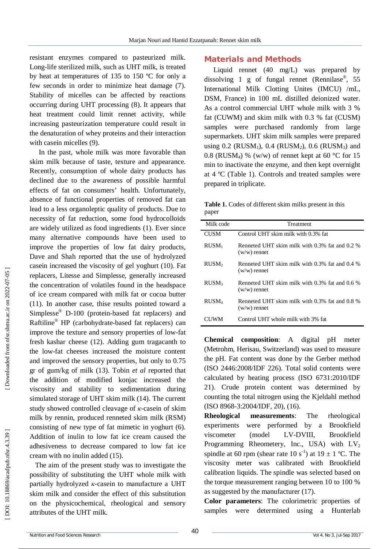resistant enzymes compared to pasteurized milk. Long -life sterilized milk, such as UHT milk, is treated by heat at temperatures of 135 to 150 ºC for only a few seconds in order to minimize heat damage (7). Stability of micelles can be affected by reactions occurring during UHT processing (8). It appears that heat treatment could limit rennet activity, while increasing pasteurization temperature could result in the denaturation of whey proteins and their interaction with casein micelles (9).

In the past, whole milk was more favorable than skim milk because of taste, texture and appearance. Recently, consumption of whole dairy products has declined due to the awareness of possible harmful effects of fat on consumers' health. Unfortunately, absence of functional properties of removed fat can lead to a less organoleptic quality of products. Due to necessity of fat reduction, some food hydrocolloids are widely utilized as food ingredients (1). Ever since many alternative compounds have been used to improve the properties of low fat dairy products, Dave and Shah reported that the use of hydrolyzed casein increased the viscosity of gel yoghurt (10). Fat replacers, Litesse and Simplesse, generally increased the concentration of volatiles found in the headspace of ice cream compared with milk fat or cocoa butter (11). In another case, thise results pointed toward a Simplesse ® D -100 (protein -based fat replacers) and Raftiline ® HP (carbohydrate -based fat replacers) can improve the texture and sensory properties of low -fat fresh kashar cheese (12). Adding gum tragacanth to the low -fat cheeses increased the moisture content and improved the sensory properties, but only to 0.75 gr of gum/kg of milk (13). Tobin *et al* reported that the addition of modified konjac increased the viscosity and stability to sedimentation during simulated storage of UHT skim milk (14). The current study showed controlled cleavage of *κ* -casein of skim milk by rennin, produced renneted skim milk (RSM) consisting of new type of fat mimetic in yoghurt (6). Addition of inulin to low fat ice cream caused the adhesiveness to decrease compared to low fat ice cream with no inulin added (15).

The aim of the present study was to investigate the possibility of substituting the UHT whole milk with partially hydrolyzed *κ* -casein to manufacture a UHT skim milk and consider the effect of this substitution on the physicochemical, rheological and sensory attributes of the UHT milk.

## **Materials and Methods**

Liquid rennet (40 mg/L) was prepared by dissolving 1 g of fungal rennet (Rennilase ® , 55 International Milk Clotting Unites (IMCU) /mL, DSM, France) in 100 mL distilled deionized water. As a control commercial UHT whole milk with 3 % fat (CUWM) and skim milk with 0.3 % fat (CUSM) samples were purchased randomly from large supermarkets. UHT skim milk samples were prepared using  $0.2$  (RUSM<sub>1</sub>),  $0.4$  (RUSM<sub>2</sub>),  $0.6$  (RUSM<sub>3</sub>) and 0.8 (RUSM<sub>4</sub>) % (w/w) of rennet kept at 60 °C for 15 min to inactivate the enzyme, and then kept overnight at 4 ºC (Table 1). Controls and treated samples were prepared in triplicate.

**Table 1.** Codes of different skim milks present in this paper

| Milk code         | Treatment                                                        |  |  |  |
|-------------------|------------------------------------------------------------------|--|--|--|
| <b>CUSM</b>       | Control UHT skim milk with 0.3% fat                              |  |  |  |
| $RUSM_1$          | Renneted UHT skim milk with 0.3% fat and 0.2 %<br>$(w/w)$ rennet |  |  |  |
| RUSM <sub>2</sub> | Renneted UHT skim milk with 0.3% fat and 0.4 %<br>$(w/w)$ rennet |  |  |  |
| RUSM <sub>3</sub> | Renneted UHT skim milk with 0.3% fat and 0.6 %<br>$(w/w)$ rennet |  |  |  |
| RUSM <sub>4</sub> | Renneted UHT skim milk with 0.3% fat and 0.8 %<br>$(w/w)$ rennet |  |  |  |
|                   | Control UHT whole milk with 3% fat                               |  |  |  |

**Chemical composition**: A digital pH meter (Metrohm, Herisau, Switzerland) was used to measure the pH . Fat content was done by the Gerber method (ISO 2446:2008/IDF 226). Total solid contents were calculated by heating process (ISO 6731:2010/IDF 21). Crude protein content was determined by counting the total nitrogen using the Kjeldahl method (ISO 8968 -3:2004/IDF, 20), (16).

**Rheological measurements**: The rheological experiments were performed by a Brookfield viscometer (model LV-DVIII, Brookfield Programming Rheometery, Inc., USA) with  $LV_2$ spindle at 60 rpm (shear rate 10 s<sup>-1</sup>) at 19  $\pm$  1 °C. The viscosity meter was calibrated with Brookfield calibration liquids. The spindle was selected based on the torque measurement ranging between 10 to 100 % as suggested by the manufacturer (17).

**Color parameters**: The colorimetric properties of samples were determined using a Hunterlab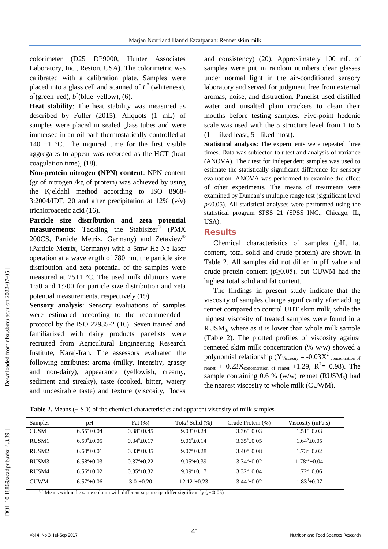colorimeter (D25 DP9000, Hunter Associates Laboratory, Inc., Reston, USA). The colorimetric was calibrated with a calibration plate. Samples were placed into a glass cell and scanned of *L* \* (whiteness),  $a^*$ (green–red),  $b^*$ (blue–yellow), (6).

**Heat stability**: The heat stability was measured as described by Fuller (2015). Aliquots (1 mL) of samples were placed in sealed glass tubes and were immersed in an oil bath thermostatically controlled at 140  $\pm$ 1 °C. The inquired time for the first visible aggregates to appear was recorded as the HCT (heat coagulation time), (18).

**Non -protein nitrogen (NPN) content**: NPN content (gr of nitrogen /kg of protein) was achieved by using the Kjeldahl method according to ISO 8968 - 3:2004/IDF, 20 and after precipitation at 12%  $(v/v)$ trichloroacetic acid (16).

**Particle size distribution and zeta potential measurements**: Tackling the Stabisizer ® (PMX 200CS, Particle Metrix, Germany) and Zetaview ® (Particle Metrix, Germany) with a 5mw He Ne laser operation at a wavelength of 780 nm, the particle size distribution and zeta potential of the samples were measured at  $25+1$  °C. The used milk dilutions were 1:50 and 1:200 for particle size distribution and zeta potential measurements, respectively (19).

**Sensory analysis**: Sensory evaluations of samples were estimated according to the recommended protocol by the ISO 22935 -2 (16). Seven trained and familiarized with dairy products panelists were recruited from Agricultural Engineering Research Institute, Karaj -Iran. The assessors evaluated the following attributes: aroma (milky, intensity, grassy and non -dairy), appearance (yellowish, creamy, sediment and streaky), taste (cooked, bitter, watery and undesirable taste) and texture (viscosity, flocks

and consistency) (20). Approximately 100 mL of samples were put in random numbers clear glasses under normal light in the air -conditioned sensory laboratory and served for judgment free from external aromas, noise, and distraction. Panelist used distilled water and unsalted plain crackers to clean their mouths before testing samples. Five -point hedonic scale was used with the 5 structure level from 1 to 5  $(1 =$  liked least, 5 = liked most).

**Statistical analysis**: The experiments were repeated three times. Data was subjected to *t* test and analysis of variance (ANOVA). The *t* test for independent samples was used to estimate the statistically significant difference for sensory evaluation. ANOVA was performed to examine the effect of other experiments. The means of treatments were examined by Duncan's multiple range test (significant level  $p<0.05$ ). All statistical analyses were performed using the statistical program SPSS 21 (SPSS INC., Chicago, IL, USA).

#### **Results**

Chemical characteristics of samples (pH, fat content, total solid and crude protein) are shown in Table 2. All samples did not differ in pH value and crude protein content ( $p \ge 0.05$ ), but CUWM had the highest total solid and fat content.

The findings in present study indicate that the viscosity of samples change significantly after adding rennet compared to control UHT skim milk, while the highest viscosity of treated samples were found in a RUSM <sup>3</sup>, where as it is lower than whole milk sample (Table 2). The plotted profiles of viscosity against renneted skim milk concentration (% w/w) showed a polynomial relationship ( $Y_{\text{Viscosity}} = -0.03X^2$  concentration of rennet +  $0.23X_{concentration\ of\ remnet}$  +1.29,  $R^2 = 0.98$ ). The sample containing  $0.6 %$  (w/w) rennet (RUSM<sub>3</sub>) had the nearest viscosity to whole milk (CUWM).

**Table 2.** Means  $(\pm SD)$  of the chemical characteristics and apparent viscosity of milk samples

| Samples     | pH                  | Fat $(\%)$          | Total Solid (%)     | Crude Protein (%)    | Viscosity (mPa.s)          |
|-------------|---------------------|---------------------|---------------------|----------------------|----------------------------|
| <b>CUSM</b> | $6.55^{\circ}+0.04$ | $0.38^{\circ}+0.45$ | $9.03^{\circ}+0.24$ | $3.36^{\circ}+0.03$  | $1.51^{\mathrm{a}} + 0.03$ |
| RUSM1       | $6.59^{\circ}+0.05$ | $0.34^a + 0.17$     | $9.06^{\circ}+0.14$ | $3.35^{\circ}+0.05$  | $1.64^{\mathrm{b}} + 0.05$ |
| RUSM2       | $6.60^{a} + 0.01$   | $0.33^{\circ}+0.35$ | $9.07^{\circ}+0.28$ | $3.40^{\circ}$ +0.08 | $1.73^{\circ}+0.02$        |
| RUSM3       | $6.58^{\circ}+0.03$ | $0.37^{\circ}+0.22$ | $9.05^{\circ}+0.39$ | $3.34^{\circ}+0.02$  | $1.78^{\text{dc}} + 0.04$  |
| RUSM4       | $6.56^{\circ}+0.02$ | $0.35^{\circ}+0.32$ | $9.09^a + 0.17$     | $3.32^{\circ}+0.04$  | $1.72^{\circ}+0.06$        |
| <b>CUWM</b> | $6.57^{\circ}+0.06$ | $3.0^{b} + 0.20$    | $12.12^b + 0.23$    | $3.44^{\circ}+0.02$  | $1.83^{\text{d}} + 0.07$   |

<sup>a, d</sup> Means within the same column with different superscript differ significantly  $(p<0.05)$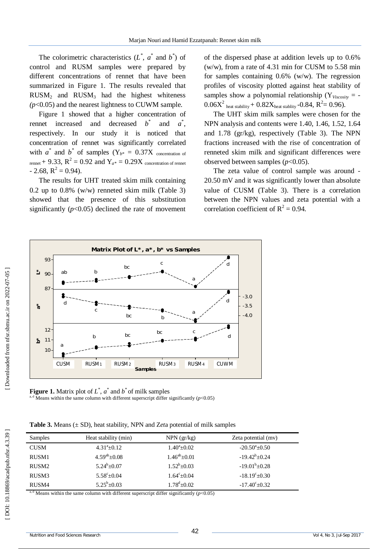The colorimetric characteristics  $(L^*, a^*$  and  $b^*)$  of control and RUSM samples were prepared by different concentrations of rennet that have been summarized in Figure 1. The results revealed that  $RUSM<sub>2</sub>$  and  $RUSM<sub>3</sub>$  had the highest whiteness *(p*<0.05) and the nearest lightness to CUWM sample.

Figure 1 showed that a higher concentration of rennet increased and decreased *b* \* and  $a^*$ , respectively. In our study it is noticed that concentration of rennet was significantly correlated with  $a^*$  and  $b^*$  of samples  $(Y_{b^*} = 0.37X)$  concentration of  $r_{\text{rennet}}$  + 9.33,  $R^2$  = 0.92 and  $Y_{a^*}$  = 0.29X concentration of rennet  $-2.68$ ,  $R^2 = 0.94$ ).

The results for UHT treated skim milk containing 0.2 up to 0.8% (w/w) renneted skim milk (Table 3) showed that the presence of this substitution significantly  $(p<0.05)$  declined the rate of movement of the dispersed phase at addition levels up to 0.6% (w/w), from a rate of 4.31 min for CUSM to 5.58 min for samples containing  $0.6\%$  (w/w). The regression profiles of viscosity plotted against heat stability of samples show a polynomial relationship ( $Y_{Viscosity}$  = - $0.06X^2$  heat stability +  $0.82X$ heat stablity - $0.84$ ,  $R^2 = 0.96$ ).

The UHT skim milk samples were chosen for the NPN analysis and contents were 1.40, 1.46, 1.52, 1.64 and 1.78 (gr/kg), respectively (Table 3). The NPN fractions increased with the rise of concentration of renneted skim milk and significant differences were observed between samples (*p*<0.05).

The zeta value of control sample was around - 20.50 mV and it was significantly lower than absolute value of CUSM (Table 3). There is a correlation between the NPN values and zeta potential with a correlation coefficient of  $R^2 = 0.94$ .



**Figure 1.** Matrix plot of  $L^*$ ,  $a^*$  and  $b^*$  of milk samples <sup>a, d</sup> Means within the same column with different superscript differ significantly ( $p$ <0.05)

**Table 3.** Means (± SD), heat stability, NPN and Z*et*a potential of milk samples

| Samples           | Heat stability (min) | $NPN$ (gr/kg)         | Zeta potential (mv)       |
|-------------------|----------------------|-----------------------|---------------------------|
| <b>CUSM</b>       | $4.31^a \pm 0.12$    | $1.40^{\circ}$ ± 0.02 | $-20.50^{\circ}$ ±0.50    |
| RUSM1             | $4.59^{ab}$ ± 0.08   | $1.46^{ab} \pm 0.01$  | $-19.42^b \pm 0.24$       |
| RUSM <sub>2</sub> | $5.24^b \pm 0.07$    | $1.52^b \pm 0.03$     | $-19.01^b \pm 0.28$       |
| RUSM3             | $5.58^{\circ}$ ±0.04 | $1.64^{\circ}$ ±0.04  | $-18.19^{\circ} \pm 0.30$ |
| RUSM4             | $5.25^b \pm 0.03$    | $1.78^{\rm d}$ ±0.02  | $-17.40^{\circ}$ ± 0.32   |

<sup>d</sup> Means within the same column with different superscript differ significantly ( $p$ <0.05)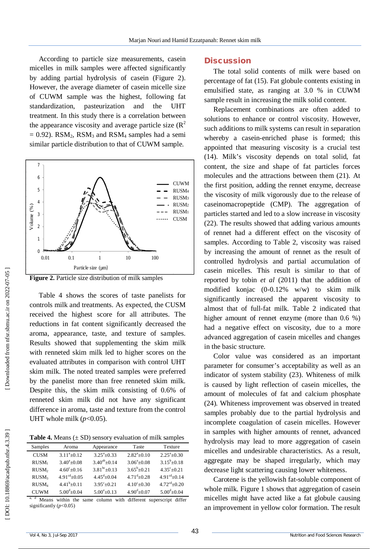According to particle size measurements, casein micelles in milk samples were affected significantly by adding partial hydrolysis of casein (Figure 2). However, the average diameter of casein micelle size of CUWM sample was the highest, following fat standardization, pasteurization and the UHT treatment. In this study there is a correlation between the appearance viscosity and average particle size  $(R^2)$  $= 0.92$ ). RSM<sub>2</sub>, RSM<sub>3</sub> and RSM<sub>4</sub> samples had a semi similar particle distribution to that of CUWM sample.





Table 4 shows the scores of taste panelists for controls milk and treatments. As expected, the CUSM received the highest score for all attributes. The reductions in fat content significantly decreased the aroma, appearance, taste, and texture of samples. Results showed that supplementing the skim milk with renneted skim milk led to higher scores on the evaluated attributes in comparison with control UHT skim milk. The noted treated samples were preferred by the panelist more than free renneted skim milk. Despite this, the skim milk consisting of 0.6% of renneted skim milk did not have any significant difference in aroma, taste and texture from the control UHT whole milk  $(p<0.05)$ .

**Table 4.** Means  $(\pm SD)$  sensory evaluation of milk samples

| Samples           | Aroma                     | Appearance               | Taste               | Texture                    |
|-------------------|---------------------------|--------------------------|---------------------|----------------------------|
| <b>CUSM</b>       | $3.11^a \pm 0.12$         | $3.25^{\circ}+0.33$      | $2.82^{a}+0.10$     | $2.25^{\circ}$ ±0.30       |
| RUSM <sub>1</sub> | $3.40^{\circ}+0.08$       | $3.40^{ab}$ + 0.14       | $3.06^{\circ}+0.08$ | $3.15^b \pm 0.18$          |
| RUSM <sub>2</sub> | $4.60^{\circ}+0.16$       | $3.81^{bc} \pm 0.13$     | $3.65^b + 0.21$     | $4.35^{\circ}+0.21$        |
| RUSM <sub>3</sub> | $4.91^{\text{cd}} + 0.05$ | $4.45^{\text{d}} + 0.04$ | $4.71^{d} + 0.28$   | $4.91cd+0.14$              |
| RUSM <sub>4</sub> | $4.41^{b}+0.11$           | $3.95^{\circ}+0.21$      | $4.10^{\circ}+0.30$ | $4.72^{\text{cd}} + 0.20$  |
| <b>CUWM</b>       | $5.00^{d} + 0.04$         | $5.00^{\circ}$ + 0.13    | $4.90^{d} + 0.07$   | $5.00^{\text{d}} \pm 0.04$ |

a, d Means within the same column with different superscript differ significantly ( $p$ <0.05)

#### **Discussion**

The total solid contents of milk were based on percentage of fat (15). Fat globule contents existing in emulsified state, as ranging at 3.0 % in CUWM sample result in increasing the milk solid content.

Replacement combinations are often added to solutions to enhance or control viscosity. However, such additions to milk systems can result in separation whereby a casein -enriched phase is formed; this appointed that measuring viscosity is a crucial test (14). Milk's viscosity depends on total solid, fat content, the size and shape of fat particles forces molecules and the attractions between them (21). At the first position, adding the rennet enzyme, decrease the viscosity of milk vigorously due to the release of caseinomacropeptide (CMP). The aggregation of particles started and led to a slow increase in viscosity (22). The results showed that adding various amounts of rennet had a different effect on the viscosity of samples. According to Table 2, viscosity was raised by increasing the amount of rennet as the result of controlled hydrolysis and partial accumulation of casein micelles. This result is similar to that of reported by tobin *et al* (2011) that the addition of modified konjac (0 -0.12% w/w) to skim milk significantly increased the apparent viscosity to almost that of full -fat milk. Table 2 indicated that higher amount of rennet enzyme (more than 0.6 %) had a negative effect on viscosity, due to a more advanced aggregation of casein micelles and changes in the basic structure.

Color value was considered as an important parameter for consumer's acceptability as well as an indicator of system stability (23). Whiteness of milk is caused by light reflection of casein micelles, the amount of molecules of fat and calcium phosphate (24)*.* Whiteness improvement was observed in treated samples probably due to the partial hydrolysis and incomplete coagulation of casein micelles. However in samples with higher amounts of rennet, advanced hydrolysis may lead to more aggregation of casein micelles and undesirable characteristics. As a result, aggregate may be shaped irregularly, which may decrease light scattering causing lower whiteness.

Carotene is the yellowish fat -soluble component of whole milk. Figure 1 shows that aggregation of casein micelles might have acted like a fat globule causing an improvement in yellow color formation. The result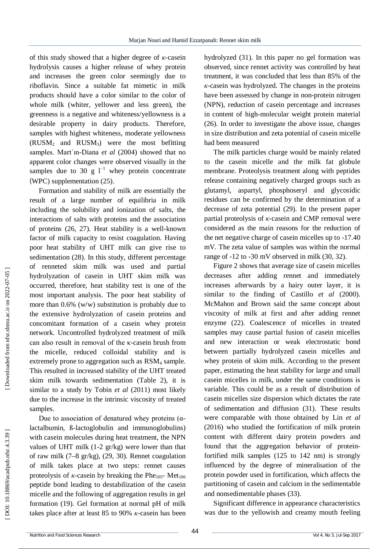of this study showed that a higher degree of *κ* -casein hydrolysis causes a higher release of whey protein and increases the green color seemingly due to riboflavin. Since a suitable fat mimetic in milk products should have a color similar to the color of whole milk (whiter, yellower and less green), the greenness is a negative and whiteness/yellowness is a desirable property in dairy products. Therefore, samples with highest whiteness, moderate yellowness (RUSM <sup>2</sup> and RUSM <sup>3</sup>) were the most befitting samples. Mart´ın -Diana *et al* (2004) showed that no apparent color changes were observed visually in the samples due to 30 g  $1^{-1}$  whey protein concentrate (WPC) supplementation (25).

Formation and stability of milk are essentially the result of a large number of equilibria in milk including the solubility and ionization of salts, the interactions of salts with proteins and the association of proteins (26, 27). Heat stability is a well -known factor of milk capacity to resist coagulation. Having poor heat stability of UHT milk can give rise to sedimentation (28). In this study, different percentage of renneted skim milk was used and partial hydrolyzation of casein in UHT skim milk was occurred, therefore, heat stability test is one of the most important analysis. The poor heat stability of more than 0.6% (w/w) substitution is probably due to the extensive hydrolyzation of casein proteins and concomitant formation of a casein whey protein network. Uncontrolled hydrolyzed treatment of milk can also result in removal of the κ -casein brush from the micelle, reduced colloidal stability and is extremely prone to aggregation such as RSM <sup>4</sup> sample. This resulted in increased stability of the UHT treated skim milk towards sedimentation (Table 2), it is similar to a study by Tobin *et al* (2011) most likely due to the increase in the intrinsic viscosity of treated samples.

Due to association of denatured whey proteins  $(α$ lactalbumin, ß -lactoglobulin and immunoglobulins) with casein molecules during heat treatment, the NPN values of UHT milk (1 -2 gr/kg) were lower than that of raw milk (7 –8 gr/kg), (29, 30). Rennet coagulation of milk takes place at two steps: rennet causes proteolysis of  $\kappa$ -casein by breaking the Phe<sub>105</sub>- Met<sub>106</sub> peptide bond leading to destabilization of the casein micelle and the following of aggregation results in gel formation (19). Gel formation at normal pH of milk takes place after at least 85 to 90% *κ* -casein has been

hydrolyzed (31). In this paper no gel formation was observed, since rennet activity was controlled by heat treatment, it was concluded that less than 85% of the *κ*-casein was hydrolyzed. The changes in the proteins have been assessed by change in non -protein nitrogen (NPN), reduction of casein percentage and increases in content of high -molecular weight protein material (26). In order to investigate the above issue, changes in size distribution and zeta potential of casein micelle had been measured

The milk particles charge would be mainly related to the casein micelle and the milk fat globule membrane. Proteolysis treatment along with peptides release containing negatively charged groups such as glutamyl, aspartyl, phosphoseryl and glycosidic residues can be confirmed by the determination of a decrease of zeta potential (29). In the present paper partial proteolysis of *κ* -casein and CMP removal were considered as the main reasons for the reduction of the net negative charge of casein micelles up to -17.40 mV. The zeta value of samples was within the normal range of -12 to -30 mV observed in milk (30, 32).

Figure 2 shows that average size of casein micelles decreases after adding rennet and immediately increases afterwards by a hairy outer layer, it is similar to the finding of Castillo *et al* (2000) . McMahon and Brown said the same concept about viscosity of milk at first and after adding rennet enzyme (22). Coalescence of micelles in treated samples may cause partial fusion of casein micelles and new interaction or weak electrostatic bond between partially hydrolyzed casein micelles and whey protein of skim milk. According to the present paper, estimating the heat stability for large and small casein micelles in milk, under the same conditions is variable. This could be as a result of distribution of casein micelles size dispersion which dictates the rate of sedimentation and diffusion (31). These results were comparable with those obtained by Lin *et al* (2016) who studied the fortification of milk protein content with different dairy protein powders and found that the aggregation behavior of protein fortified milk samples (125 to 142 nm) is strongly influenced by the degree of mineralisation of the protein powder used in fortification, which affects the partitioning of casein and calcium in the sedimentable and nonsedimentable phases (33).

Significant difference in appearance characteristics was due to the yellowish and creamy mouth feeling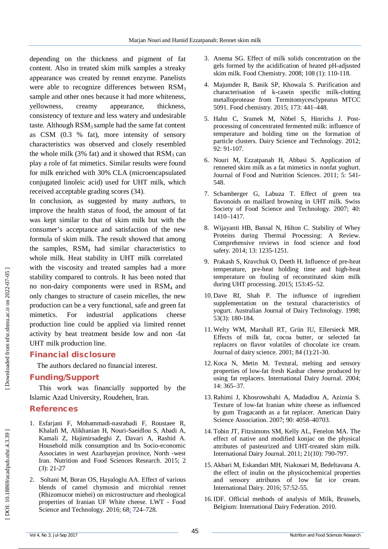depending on the thickness and pigment of fat content. Also in treated skim milk samples a streaky appearance was created by rennet enzyme. Panelists were able to recognize differences between  $\text{RSM}_3$ sample and other ones because it had more whiteness, yellowness, creamy appearance, thickness, consistency of texture and less watery and undesirable taste. Although  $RSM<sub>3</sub>$  sample had the same fat content as CSM (0.3 % fat), more intensity of sensory characteristics was observed and closely resembled the whole milk  $(3\%$  fat) and it showed that  $RSM_3$  can play a role of fat mimetics. Similar results were found for milk enriched with 30% CLA (microencapsulated conjugated linoleic acid) used for UHT milk, which received acceptable grading scores (34).

In conclusion, as suggested by many authors, to improve the health status of food, the amount of fat was kept similar to that of skim milk but with the consumer's acceptance and satisfaction of the new formula of skim milk . The result showed that among the samples,  $RSM<sub>4</sub>$  had similar characteristics to whole milk. Heat stability in UHT milk correlated with the viscosity and treated samples had a more stability compared to controls. It has been noted that no non -dairy components were used in RSM4 and only changes to structure of casein micelles, the new production can be a very functional, safe and green fat mimetics. For industrial applications cheese production line could be applied via limited rennet activity by heat treatment beside low and non -fat UHT milk production line.

# **Financial disclosure**

The authors declared no financial interest.

## **Funding/Support**

This work was financially supported by the Islamic Azad University, Roudehen, Iran.

# **References**

- 1. Esfarjani F, Mohammadi -nasrabadi F, Roustaee R, Khalafi M, Alikhanian H, Nouri -Saeidlou S, Abadi A, Kamali Z, Hajimirsadeghi Z, Davari A, Rashid A. Household milk consumption and Its Socio-economic Associates in west Azarbayejan province, North -west Iran. Nutrition and Food Sciences Research. 2015; 2 (3): 21 -27
- 2 . Soltani M, Boran OS, Hayaloglu AA. Effect of various blends of camel chymosin and microbial rennet (Rhizomucor miehei) on microstructure and rheological properties of Iranian UF White cheese. LWT - Food Science and Technology. 2016; 68: 724-728.
- 3 . Anema SG. Effect of milk solids concentration on the gels formed by the acidification of heated pH -adjusted skim milk. Food Chemistry. 2008; 108 (1): 110 -118.
- 4 . Majumder R, Banik SP, Khowala S. Purification and characterisation of k -casein specific milk -clotting metalloprotease from Termitomycesclypeatus MTCC 5091. Food chemistry. 2015; 173: 441 –448.
- 5 . Hahn C, Sramek M, Nöbel S, Hinrichs J. Post processing of concentrated fermented milk: influence of temperature and holding time on the formation of particle clusters. Dairy Science and Technology. 2012; 92: 91 -107.
- 6 . Nouri M, Ezzatpanah H, Abbasi S. Application of renneted skim milk as a fat mimetics in nonfat yoghurt. Journal of Food and Nutrition Sciences. 2011; 5: 541 - 548.
- 7 . Schamberger G, Labuza T. Effect of green tea flavonoids on maillard browning in UHT milk. Swiss Society of Food Science and Technology. 2007; 40: 1410 –1417.
- 8 . Wijayanti HB, Bansal N, Hilton C. Stability of Whey Proteins during Thermal Processing: A Review. Comprehensive reviews in food science and food safety. 2014; 13: 1235 -1251.
- 9 . Prakash S, Kravchuk O, Deeth H. Influence of pre -heat temperature, pre -heat holding time and high -heat temperature on fouling of reconstituted skim milk during UHT processing. 2015; 153:45 –52.
- 10 . Dave RI, Shah P. The influence of ingredient supplementation on the textural characteristics of yogurt. Australian Journal of Dairy Technology. 1998; 53(3): 180 -184.
- 11 .Welty WM, Marshall RT, Grün IU, Ellersieck MR. Effects of milk fat, cocoa butter, or selected fat replacers on flavor volatiles of chocolate ice cream. Journal of dairy science. 2001; 84 (1):21 -30.
- 12 . Koca N, Metin M. Textural, melting and sensory properties of low -fat fresh Kashar cheese produced by using fat replacers. International Dairy Journal. 2004; 14: 365 –37 .
- 13 .Rahimi J, Khosrowshahi A, Madadlou A, Aziznia S. Texture of low -fat Iranian white cheese as influenced by gum Tragacanth as a fat replacer. American Dairy Science Association. 2007; 90: 4058 –40703.
- 14 . Tobin JT, Fitzsimons SM, Kelly AL, Fenelon MA. The effect of native and modified konjac on the physical attributes of pasteurized and UHT -treated skim milk. International Dairy Journal. 2011; 21(10): 790 -797.
- 15 . Akbari M, Eskandari MH, Niakosari M, Bedeltavana A. the effect of inulin on the physicochemical properties and sensory attributes of low fat ice cream. International Dairy. 2016; 57:52 -55.
- 16 .IDF. Official methods of analysis of Milk, Brussels, Belgium: International Dairy Federation. 2010.